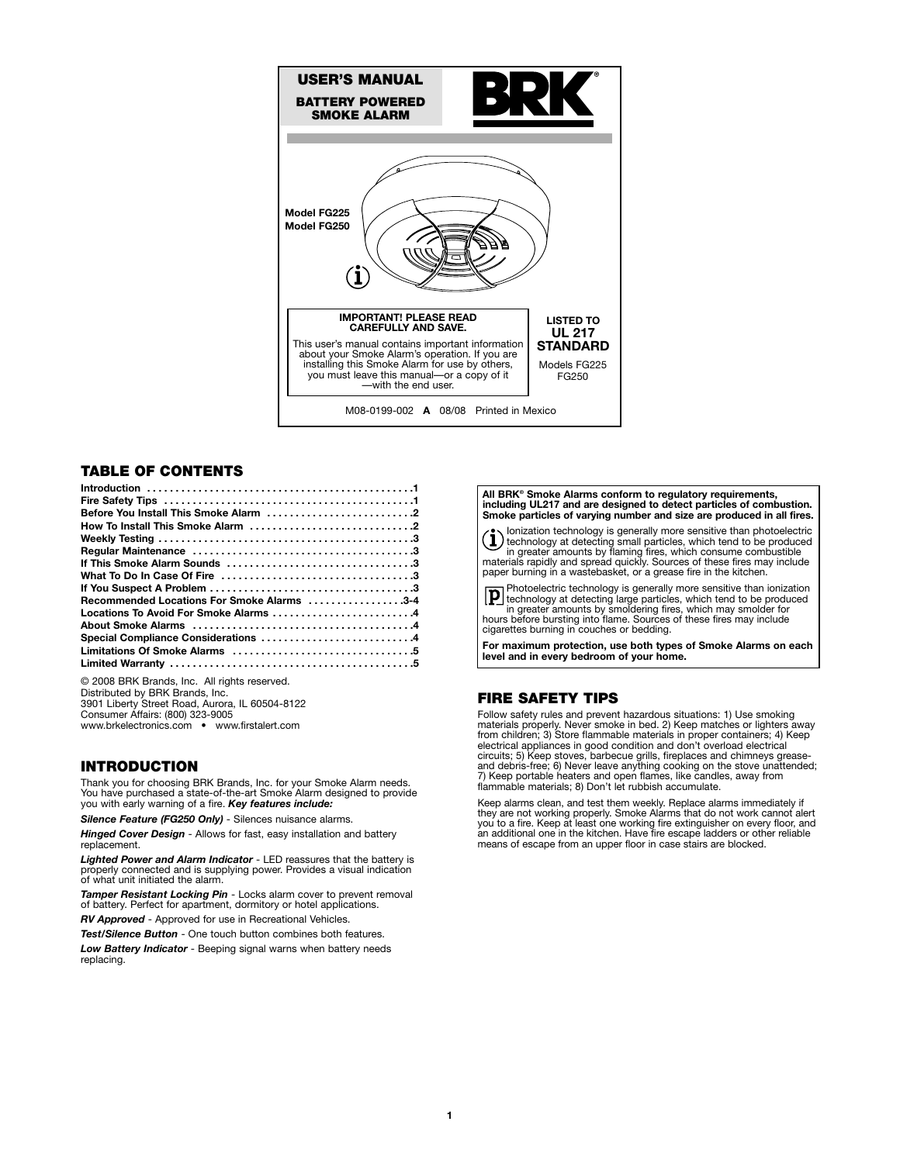

# **TABLE OF CONTENTS**

| Recommended Locations For Smoke Alarms 3-4 |
|--------------------------------------------|
| Locations To Avoid For Smoke Alarms 4      |
|                                            |
| Special Compliance Considerations 4        |
|                                            |
|                                            |
|                                            |

© 2008 BRK Brands, Inc. All rights reserved. Distributed by BRK Brands, Inc. 3901 Liberty Street Road, Aurora, IL 60504-8122 Consumer Affairs: (800) 323-9005 www.brkelectronics.com • www.firstalert.com

## **INTRODUCTION**

Thank you for choosing BRK Brands, Inc. for your Smoke Alarm needs. You have purchased a state-of-the-art Smoke Alarm designed to provide you with early warning of a fire. *Key features include:*

*Silence Feature (FG250 Only)* - Silences nuisance alarms. *Hinged Cover Design* - Allows for fast, easy installation and battery replacement.

*Lighted Power and Alarm Indicator* - LED reassures that the battery is properly connected and is supplying power. Provides a visual indication of what unit initiated the alarm.

*Tamper Resistant Locking Pin* - Locks alarm cover to prevent removal of battery. Perfect for apartment, dormitory or hotel applications.

*RV Approved* - Approved for use in Recreational Vehicles.

*Test/Silence Button* - One touch button combines both features. *Low Battery Indicator* - Beeping signal warns when battery needs replacing.

#### **All BRK® Smoke Alarms conform to regulatory requirements, including UL217 and are designed to detect particles of combustion. Smoke particles of varying number and size are produced in all fires.**

(1) lonization technology is generally more sensitive than photoelectric<br>termology at detecting small particles, which tend to be produced<br>in greater amounts by flaming fires, which consume combustible<br>materials rapidly an paper burning in a wastebasket, or a grease fire in the kitchen.

Photoelectric technology is generally more sensitive than ionization technology at detecting large particles, which tend to be produced in greater amounts by smoldering fires, which may smolder for hours before bursting into flame. Sources of these fires may include cigarettes burning in couches or bedding.

**For maximum protection, use both types of Smoke Alarms on each level and in every bedroom of your home.**

## **FIRE SAFETY TIPS**

Follow safety rules and prevent hazardous situations: 1) Use smoking materials properly. Never smoke in bed. 2) Keep matches or lighters away<br>from children; 3) Store flammable materials in proper containers; 4) Keep<br>electrical appliances in good condition and don't overload electrical<br>circu flammable materials; 8) Don't let rubbish accumulate.

Keep alarms clean, and test them weekly. Replace alarms immediately if they are not working properly. Smoke Alarms that do not work cannot alert you to a fire. Keep at least one working fire extinguisher on every floor, and an additional one in the kitchen. Have fire escape ladders or other reliable means of escape from an upper floor in case stairs are blocked.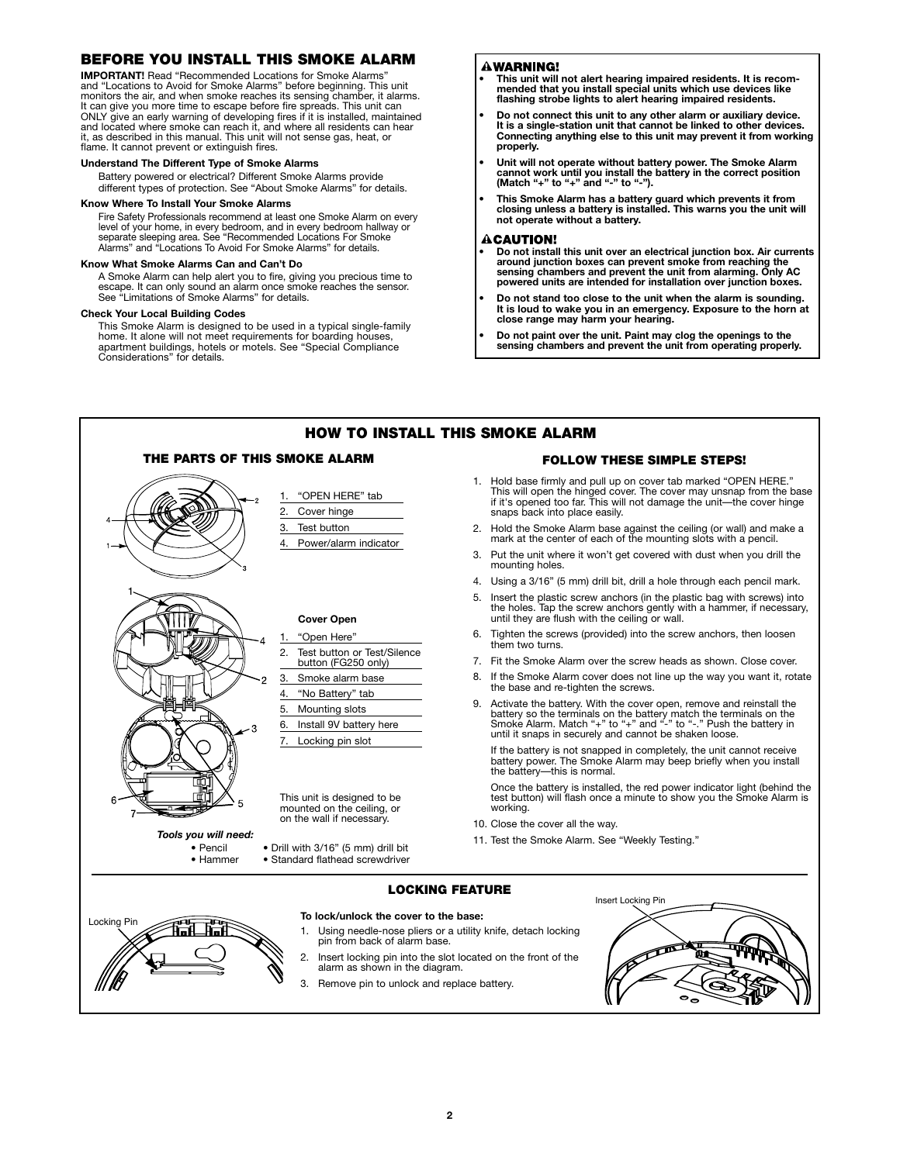## **BEFORE YOU INSTALL THIS SMOKE ALARM**

**IMPORTANT!** Read "Recommended Locations for Smoke Alarms" and "Locations to Avoid for Smoke Alarms" before beginning. This unit monitors the air, and when smoke reaches its sensing chamber, it alarms. It can give you more time to escape before fire spreads. This unit can ONLY give an early warning of developing fires if it is installed, maintained and located where smoke can reach it, and where all residents can hear it, as described in this manual. This unit will not sense gas, heat, or flame. It cannot prevent or extinguish fires.

#### **Understand The Different Type of Smoke Alarms**

Battery powered or electrical? Different Smoke Alarms provide different types of protection. See "About Smoke Alarms" for details.

#### **Know Where To Install Your Smoke Alarms**

Fire Safety Professionals recommend at least one Smoke Alarm on every level of your home, in every bedroom, and in every bedroom hallway or separate sleeping area. See "Recommended Locations For Smoke Alarms" and "Locations To Avoid For Smoke Alarms" for details.

## **Know What Smoke Alarms Can and Can't Do**

A Smoke Alarm can help alert you to fire, giving you precious time to<br>escape. It can only sound an alarm once smoke reaches the sensor.<br>See "Limitations of Smoke Alarms" for details.

## **Check Your Local Building Codes**

This Smoke Alarm is designed to be used in a typical single-family home. It alone will not meet requirements for boarding houses, apartment buildings, hotels or motels. See "Special Compliance Considerations" for details.

## **AWARNING!**

- **This unit will not alert hearing impaired residents. It is recom- mended that you install special units which use devices like flashing strobe lights to alert hearing impaired residents.**
- **• Do not connect this unit to any other alarm or auxiliary device. It is a single-station unit that cannot be linked to other devices. Connecting anything else to this unit may prevent it from working properly.**
- **• Unit will not operate without battery power. The Smoke Alarm cannot work until you install the battery in the correct position (Match "+" to "+" and "-" to "-").**
- **• This Smoke Alarm has a battery guard which prevents it from closing unless a battery is installed. This warns you the unit will not operate without a battery.**

## **CAUTION!**

- **Do not install this unit over an electrical junction box. Air currents around junction boxes can prevent smoke from reaching the sensing chambers and prevent the unit from alarming. Only AC powered units are intended for installation over junction boxes.**
- **Do not stand too close to the unit when the alarm is sounding. It is loud to wake you in an emergency. Exposure to the horn at close range may harm your hearing.**
- **• Do not paint over the unit. Paint may clog the openings to the sensing chambers and prevent the unit from operating properly.**

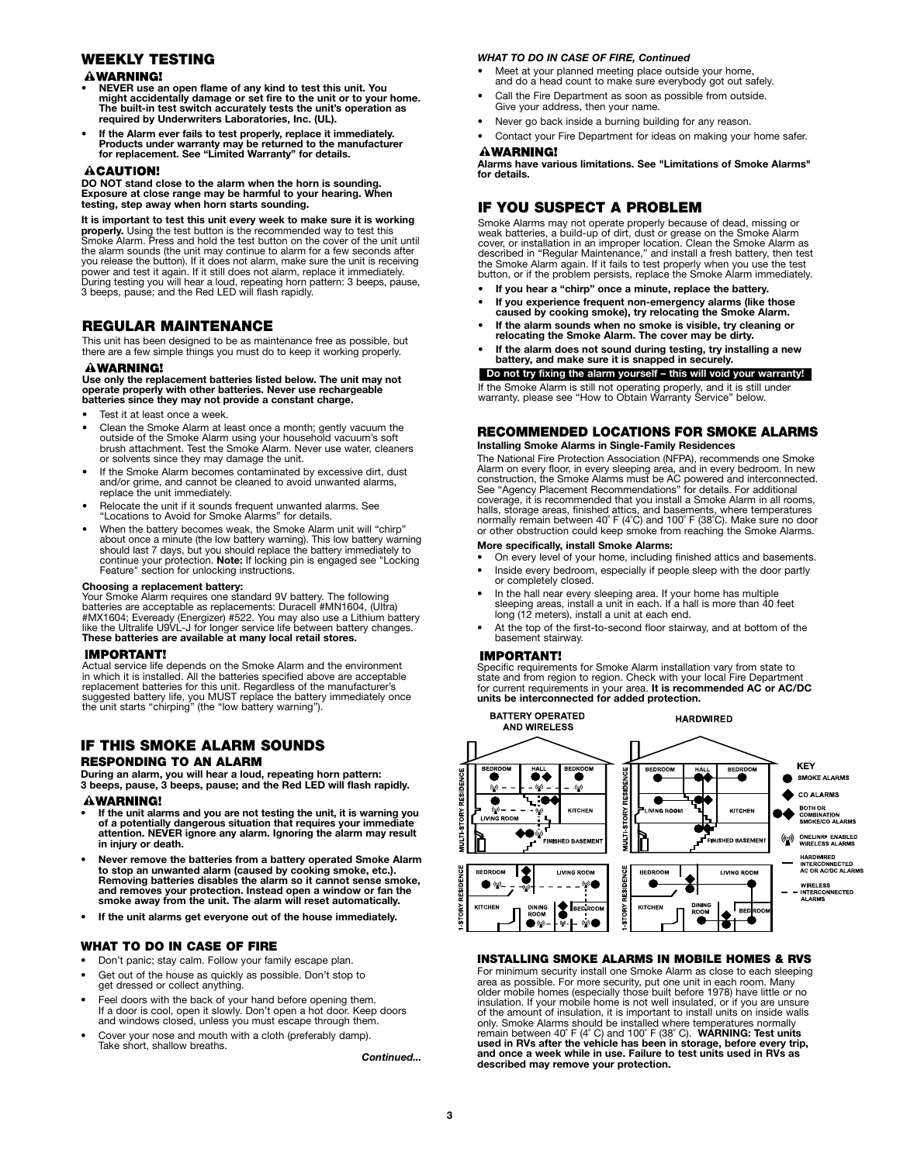## **WEEKLY TESTING**

## **AWARNING!**

- **• NEVER use an open flame of any kind to test this unit. You might accidentally damage or set fire to the unit or to your home. The built-in test switch accurately tests the unit's operation as required by Underwriters Laboratories, Inc. (UL).**
- **• If the Alarm ever fails to test properly, replace it immediately. Products under warranty may be returned to the manufacturer for replacement. See "Limited Warranty" for details.**

## **ACAUTION!**

**DO NOT stand close to the alarm when the horn is sounding. Exposure at close range may be harmful to your hearing. When testing, step away when horn starts sounding.**

**It is important to test this unit every week to make sure it is working properly.** Using the test button is the recommended way to test this Smoke Alarm. Press and hold the test button on the cover of the unit until the alarm sounds (the unit may continue to alarm for a few seconds after you release the button). If it does not alarm, make sure the unit is receiving<br>power and test it again. If it still does not alarm, replace it immediately.<br>During testing you will hear a loud, repeating horn pattern: 3 bee 3 beeps, pause; and the Red LED will flash rapidly.

## **REGULAR MAINTENANCE**

This unit has been designed to be as maintenance free as possible, but there are a few simple things you must do to keep it working properly.

## **AWARNING!**

**Use only the replacement batteries listed below. The unit may not operate properly with other batteries. Never use rechargeable batteries since they may not provide a constant charge.**

- Test it at least once a week.
- Clean the Smoke Alarm at least once a month; gently vacuum the outside of the Smoke Alarm using your household vacuum's soft brush attachment. Test the Smoke Alarm. Never use water, cleaners or solvents since they may damage the unit.
- If the Smoke Alarm becomes contaminated by excessive dirt, dust and/or grime, and cannot be cleaned to avoid unwanted alarms, replace the unit immediately.
- Relocate the unit if it sounds frequent unwanted alarms. See "Locations to Avoid for Smoke Alarms" for details.
- When the battery becomes weak, the Smoke Alarm unit will "chirp" about once a minute (the low battery warning). This low battery warning should last 7 days, but you should replace the battery immediately to continue your protection. **Note:** If locking pin is engaged see "Locking Feature" section for unlocking instructions.

**Choosing a replacement battery:** Your Smoke Alarm requires one standard 9V battery. The following batteries are acceptable as replacements: Duracell #MN1604, (Ultra)<br>#MX1604; Eveready (Energizer) #522. You may also use a Lithium battery<br>like the Ultralife U9VL-J for longer service life between battery changes. **These batteries are available at many local retail stores.**

## **IMPORTANT!**

Actual service life depends on the Smoke Alarm and the environment in which it is installed. All the batteries specified above are acceptable replacement batteries for this unit. Regardless of the manufacturer's suggested battery life, you MUST replace the battery immediately once the unit starts "chirping" (the "low battery warning").

# **IF THIS SMOKE ALARM SOUNDS**

## **RESPONDING TO AN ALARM**

**During an alarm, you will hear a loud, repeating horn pattern: 3 beeps, pause, 3 beeps, pause; and the Red LED will flash rapidly.**

#### **WARNING!**

- **• If the unit alarms and you are not testing the unit, it is warning you of a potentially dangerous situation that requires your immediate attention. NEVER ignore any alarm. Ignoring the alarm may result in injury or death.**
- **Never remove the batteries from a battery operated Smoke Alarm to stop an unwanted alarm (caused by cooking smoke, etc.). Removing batteries disables the alarm so it cannot sense smoke, and removes your protection. Instead open a window or fan the smoke away from the unit. The alarm will reset automatically.**
- **If the unit alarms get everyone out of the house immediately.**

## **WHAT TO DO IN CASE OF FIRE**

- Don't panic; stay calm. Follow your family escape plan.
- Get out of the house as quickly as possible. Don't stop to get dressed or collect anything.
- Feel doors with the back of your hand before opening them. If a door is cool, open it slowly. Don't open a hot door. Keep doors and windows closed, unless you must escape through them.
- Cover your nose and mouth with a cloth (preferably damp). Take short, shallow breaths.

*Continued...*

## *WHAT TO DO IN CASE OF FIRE, Continued*

- Meet at your planned meeting place outside your home, and do a head count to make sure everybody got out safely.
- Call the Fire Department as soon as possible from outside. Give your address, then your name.
- Never go back inside a burning building for any reason.
- Contact your Fire Department for ideas on making your home safer.

## **AWARNING!**

**Alarms have various limitations. See "Limitations of Smoke Alarms" for details.**

## **IF YOU SUSPECT A PROBLEM**

Smoke Alarms may not operate properly because of dead, missing or<br>weak batteries, a build-up of dirt, dust or grease on the Smoke Alarm<br>cover, or installation in an improper location. Clean the Smoke Alarm as<br>described in

- **If you hear a "chirp" once a minute, replace the battery.**
- **• If you experience frequent non-emergency alarms (like those**
- **caused by cooking smoke), try relocating the Smoke Alarm.**
- **If the alarm sounds when no smoke is visible, try cleaning or relocating the Smoke Alarm. The cover may be dirty. • If the alarm does not sound during testing, try installing a new**
- **battery, and make sure it is snapped in securely. Do not try fixing the alarm yourself – this will void your warranty!**

If the Smoke Alarm is still not operating properly, and it is still under warranty, please see "How to Obtain Warranty Service" below.

## **RECOMMENDED LOCATIONS FOR SMOKE ALARMS**

**Installing Smoke Alarms in Single-Family Residences**

The National Fire Protection Association (NFPA), recommends one Smoke<br>Alarm on every floor, in every sleeping area, and in every bedroom. In new<br>construction, the Smoke Alarms must be AC powered and interconnected.<br>See "Ag coverage, it is recommended that you install a Smoke Alarm in all rooms, halls, storage areas, finished attics, and basements, where temperatures normally remain between 40° F (4°C) and 100° F (38°C). Make sure no door or other obstruction could keep smoke from reaching the Smoke Alarms.

## **More specifically, install Smoke Alarms:**

- On every level of your home, including finished attics and basements. • Inside every bedroom, especially if people sleep with the door partly or completely closed.
- In the hall near every sleeping area. If your home has multiple sleeping areas, install a unit in each. If a hall is more than 40 feet long (12 meters), install a unit at each end.
- At the top of the first-to-second floor stairway, and at bottom of the basement stairway.

#### **IMPORTANT!**

Specific requirements for Smoke Alarm installation vary from state to state and from region to region. Check with your local Fire Department for current requirements in your area. **It is recommended AC or AC/DC units be interconnected for added protection.**



## **INSTALLING SMOKE ALARMS IN MOBILE HOMES & RVS**

For minimum security install one Smoke Alarm as close to each sleeping area as possible. For more security, put one unit in each room. Many older mobile homes (especially those built before 1978) have little or no insulation. If your mobile home is not well insulated, or if you are unsure of the amount of insulation, it is important to install units on inside walls only. Smoke Alarms should be installed where temperatures normally<br>remain between 40˚ F (4˚ C) and 100˚ F (38˚ C). **WARNING: Test units**<br>**used in RVs after the vehicle has been in storage, before every trip, and once a week while in use. Failure to test units used in RVs as described may remove your protection.**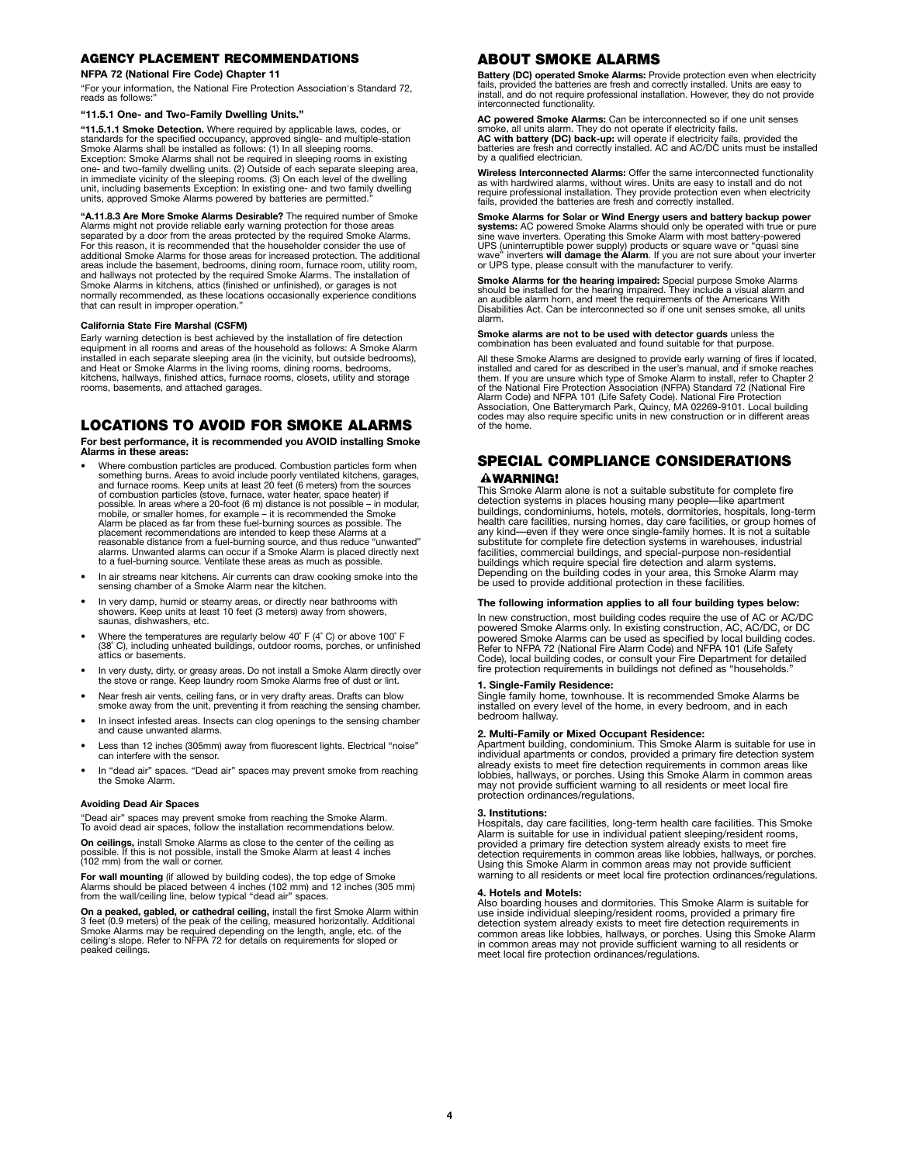## **AGENCY PLACEMENT RECOMMENDATIONS**

## **NFPA 72 (National Fire Code) Chapter 11**

"For your information, the National Fire Protection Association's Standard 72, reads as follows:

### **"11.5.1 One- and Two-Family Dwelling Units."**

"**11.5.1.1 Smoke Detection.** Where required by applicable laws, codes, or<br>standards for the specified occupancy, approved single- and multiple-station<br>Smoke Alarms shall be installed as follows: (1) In all sleeping rooms.<br> one- and two-family dwelling units. (2) Outside of each separate sleeping area, in immediate vicinity of the sleeping rooms. (3) On each level of the dwelling unit, including basements Exception: In existing one- and two family dwelling units, approved Smoke Alarms powered by batteries are permitted."

"**A.11.8.3 Are More Smoke Alarms Desirable?** The required number of Smoke<br>Alarms might not provide reliable early warning protection for those areas<br>separated by a door from the areas protected by the required Smoke Alarms additional Smoke Alarms for those areas for increased protection. The additional areas include the basement, bedrooms, dining room, furnace room, utility room, and hallways not protected by the required Smoke Alarms. The installation of Smoke Alarms in kitchens, attics (finished or unfinished), or garages is not normally recommended, as these locations occasionally experience conditions that can result in improper operation."

#### **California State Fire Marshal (CSFM)**

Early warning detection is best achieved by the installation of fire detection equipment in all rooms and areas of the household as follows: A Smoke Alarm<br>installed in each separate sleeping area (in the vicinity, but outside bedrooms),<br>and Heat or Smoke Alarms in the living rooms, dining rooms, bedr kitchens, hallways, finished attics, furnace rooms, closets, utility and storage rooms, basements, and attached garages.

## **LOCATIONS TO AVOID FOR SMOKE ALARMS**

**For best performance, it is recommended you AVOID installing Smoke Alarms in these areas:**

- Where combustion particles are produced. Combustion particles form when something burns. Areas to avoid include poorly ventilated kitchens, garages, and furnace rooms. Keep units at least 20 feet (6 meters) from the sources of combustion particles (stove, furnace, water heater, space heater) if possible. In areas where a 20-foot (6 m) distance is not possible – in modular, mobile, or smaller homes, for example – it is recommended the Smoke Alarm be placed as far from these fuel-burning sources as possible. The placement recommendations are intended to keep these Alarms at a reasonable distance from a fuel-burning source, and thus reduce "unwanted" alarms. Unwanted alarms can occur if a Smoke Alarm is placed directly next to a fuel-burning source. Ventilate these areas as much as possible.
- In air streams near kitchens. Air currents can draw cooking smoke into the sensing chamber of a Smoke Alarm near the kitchen.
- In very damp, humid or steamy areas, or directly near bathrooms with showers. Keep units at least 10 feet (3 meters) away from showers, saunas, dishwashers, etc.
- Where the temperatures are regularly below 40˚ F (4˚ C) or above 100˚ F (38˚ C), including unheated buildings, outdoor rooms, porches, or unfinished attics or basements.
- In very dusty, dirty, or greasy areas. Do not install a Smoke Alarm directly over the stove or range. Keep laundry room Smoke Alarms free of dust or lint.
- Near fresh air vents, ceiling fans, or in very drafty areas. Drafts can blow smoke away from the unit, preventing it from reaching the sensing chamber.
- In insect infested areas. Insects can clog openings to the sensing chamber and cause unwanted alarms.
- Less than 12 inches (305mm) away from fluorescent lights. Electrical "noise" can interfere with the sensor.
- In "dead air" spaces. "Dead air" spaces may prevent smoke from reaching the Smoke Alarm.

#### **Avoiding Dead Air Spaces**

"Dead air" spaces may prevent smoke from reaching the Smoke Alarm. To avoid dead air spaces, follow the installation recommendations below.

**On ceilings,** install Smoke Alarms as close to the center of the ceiling as possible. If this is not possible, install the Smoke Alarm at least 4 inches possible. If this is not possible, in<br>(102 mm) from the wall or corner.

**For wall mounting** (if allowed by building codes), the top edge of Smoke<br>Alarms should be placed between 4 inches (102 mm) and 12 inches (305 mm)<br>from the wall/ceiling line, below typical "dead air" spaces.

**On a peaked, gabled, or cathedral ceiling,** install the first Smoke Alarm within 3 feet (0.9 meters) of the peak of the ceiling, measured horizontally. Additional<br>Smoke Alarms may be required depending on the length, angle, etc. of the<br>ceiling's slope. Refer to NFPA 72 for details on requirements for s peaked ceilings.

## **ABOUT SMOKE ALARMS**

**Battery (DC) operated Smoke Alarms:** Provide protection even when electricity<br>fails, provided the batteries are fresh and correctly installed. Units are easy to<br>install, and do not require professional installation. Howev interconnected functionality.

**AC powered Smoke Alarms:** Can be interconnected so if one unit senses<br>smoke, all units alarm. They do not operate if electricity fails.<br>**AC with battery (DC) back-up:** will operate if electricity fails, provided the<br>batte by a qualified electrician.

**Wireless Interconnected Alarms:** Offer the same interconnected functionality as with hardwired alarms, without wires. Units are easy to install and do not require professional installation. They provide protection even when electricity fails, provided the batteries are fresh and correctly installed.

**Smoke Alarms for Solar or Wind Energy users and battery backup power** systems: AC powered Smoke Alarms should only be operated with true or pure<br>sine wave inverters. Operating this Smoke Alarm with most battery-powered<br>UPS (uninterruptible power supply) products or square wave or "quasi sine

**Smoke Alarms for the hearing impaired:** Special purpose Smoke Alarms<br>should be installed for the hearing impaired. They include a visual alarm and<br>an audible alarm horn, and meet the requirements of the Americans With Disabilities Act. Can be interconnected so if one unit senses smoke, all units alarm.

**Smoke alarms are not to be used with detector guards** unless the combination has been evaluated and found suitable for that purpose.

All these Smoke Alarms are designed to provide early warning of fires if located,<br>installed and cared for as described in the user's manual, and if smoke reaches<br>them. If you are unsure which type of Smoke Alarm to install Alarm Code) and NFPA 101 (Life Safety Code). National Fire Protection Association, One Batterymarch Park, Quincy, MA 02269-9101. Local building codes may also require specific units in new construction or in different areas of the home.

## **SPECIAL COMPLIANCE CONSIDERATIONS AWARNING!**

This Smoke Alarm alone is not a suitable substitute for complete fire detection systems in places housing many people—like apartment buildings, condominiums, hotels, motels, dormitories, hospitals, long-term health care facilities, nursing homes, day care facilities, or group homes of any kind—even if they were once single-family homes. It is not a suitable substitute for complete fire detection systems in warehouses, industrial facilities, commercial buildings, and special-purpose non-residential buildings which require special fire detection and alarm systems. Depending on the building codes in your area, this Smoke Alarm may be used to provide additional protection in these facilities.

#### **The following information applies to all four building types below:**

In new construction, most building codes require the use of AC or AC/DC powered Smoke Alarms only. In existing construction, AC, AC/DC, or DC powered Smoke Alarms can be used as specified by local building codes. Refer to NFPA 72 (National Fire Alarm Code) and NFPA 101 (Life Safety Code), local building codes, or consult your Fire Department for detailed fire protection requirements in buildings not defined as "households."

## **1. Single-Family Residence:**

Single family home, townhouse. It is recommended Smoke Alarms be installed on every level of the home, in every bedroom, and in each bedroom hallway.

**2. Multi-Family or Mixed Occupant Residence:**  Apartment building, condominium. This Smoke Alarm is suitable for use in individual apartments or condos, provided a primary fire detection system already exists to meet fire detection requirements in common areas like lobbies, hallways, or porches. Using this Smoke Alarm in common areas may not provide sufficient warning to all residents or meet local fire protection ordinances/regulations.

#### **3. Institutions:**

Hospitals, day care facilities, long-term health care facilities. This Smoke Alarm is suitable for use in individual patient sleeping/resident rooms, provided a primary fire detection system already exists to meet fire<br>detection requirements in common areas like lobbies, hallways, or porches.<br>Using this Smoke Alarm in common areas may not provide sufficient warning to all residents or meet local fire protection ordinances/regulations.

#### **4. Hotels and Motels:**

Also boarding houses and dormitories. This Smoke Alarm is suitable for use inside individual sleeping/resident rooms, provided a primary fire<br>detection system already exists to meet fire detection requirements in<br>common areas like lobbies, hallways, or porches. Using this Smoke Alarm in common areas may not provide sufficient warning to all residents or meet local fire protection ordinances/regulations.